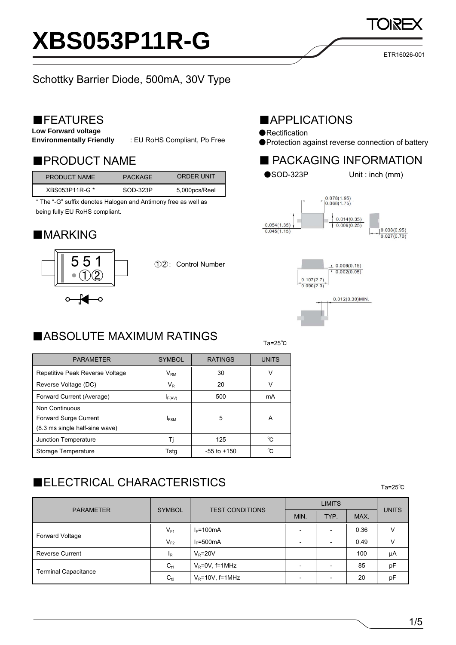# **XBS053P11R-G**

### Schottky Barrier Diode, 500mA, 30V Type

### ■FEATURES

**Low Forward voltage** 

**Environmentally Friendly** : EU RoHS Compliant, Pb Free

| <b>PRODUCT NAME</b> | <b>PACKAGE</b> | ORDER UNIT    |
|---------------------|----------------|---------------|
| XBS053P11R-G *      | SOD-323P       | 5,000pcs/Reel |

\* The "-G" suffix denotes Halogen and Antimony free as well as being fully EU RoHS compliant.

### ■MARKING



①②: Control Number

### $T_a=25^\circ$ Ta=25 $^\circ$ ■ABSOLUTE MAXIMUM RATINGS

| <b>MAPPLICATIONS</b> |  |  |
|----------------------|--|--|
|                      |  |  |

- ●Rectification
- ●Protection against reverse connection of battery

### ■PRODUCT NAME ■ PACKAGING INFORMATION







| <b>PARAMETER</b>                | <b>SYMBOL</b> | <b>RATINGS</b>  | <b>UNITS</b> |  |
|---------------------------------|---------------|-----------------|--------------|--|
| Repetitive Peak Reverse Voltage | $V_{\rm RM}$  | 30              | V            |  |
| Reverse Voltage (DC)            | VR            | 20              | v            |  |
| Forward Current (Average)       | $I_{F(AV)}$   | 500             | mA           |  |
| Non Continuous                  |               |                 |              |  |
| Forward Surge Current           | <b>IFSM</b>   | 5               | A            |  |
| (8.3 ms single half-sine wave)  |               |                 |              |  |
| Junction Temperature            | Ti            | 125             | °C           |  |
| Storage Temperature             | Tsta          | $-55$ to $+150$ | °C           |  |

### $\blacksquare$ ELECTRICAL CHARACTERISTICS $_{\text{Ta}=25^\circ\text{C}}$

|                             | <b>SYMBOL</b> | <b>TEST CONDITIONS</b> | <b>LIMITS</b>            |                          |      |              |
|-----------------------------|---------------|------------------------|--------------------------|--------------------------|------|--------------|
| <b>PARAMETER</b>            |               |                        | MIN.                     | TYP.                     | MAX. | <b>UNITS</b> |
|                             | $V_{F1}$      | $I_F = 100mA$          | $\overline{\phantom{0}}$ |                          | 0.36 | V            |
| Forward Voltage             | $V_{F2}$      | $I_F = 500mA$          | $\overline{\phantom{0}}$ |                          | 0.49 | V            |
| <b>Reverse Current</b>      | $I_R$         | $V_R = 20V$            |                          |                          | 100  | μA           |
| <b>Terminal Capacitance</b> | $C_{t1}$      | $V_R = 0V$ , f=1MHz    |                          |                          | 85   | pF           |
|                             | $C_{t2}$      | $V_R = 10V$ , f=1MHz   | -                        | $\overline{\phantom{0}}$ | 20   | pF           |

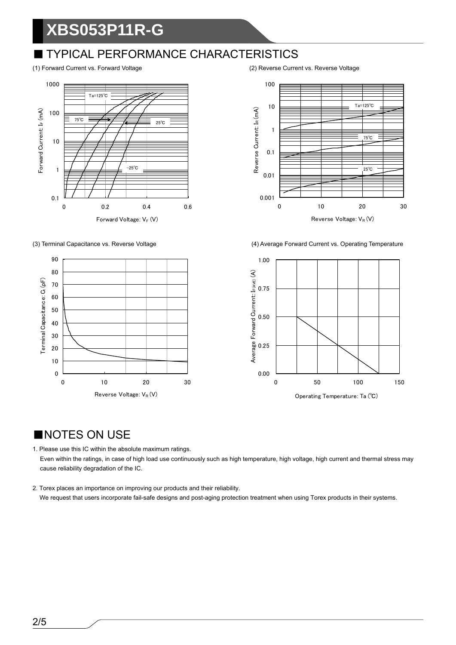## **XBS053P11R-G**

### ■ TYPICAL PERFORMANCE CHARACTERISTICS









(3) Terminal Capacitance vs. Reverse Voltage (4) Average Forward Current vs. Operating Temperature



### ■NOTES ON USE

1. Please use this IC within the absolute maximum ratings. Even within the ratings, in case of high load use continuously such as high temperature, high voltage, high current and thermal stress may cause reliability degradation of the IC.

2. Torex places an importance on improving our products and their reliability. We request that users incorporate fail-safe designs and post-aging protection treatment when using Torex products in their systems.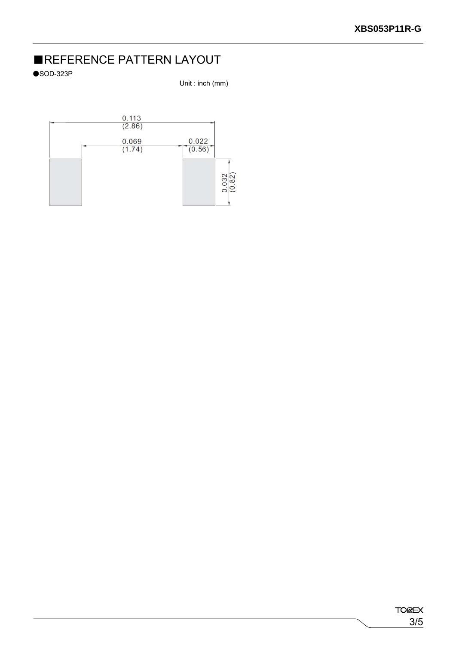### ■REFERENCE PATTERN LAYOUT

 $\bullet$ SOD-323P

Unit : inch (mm)

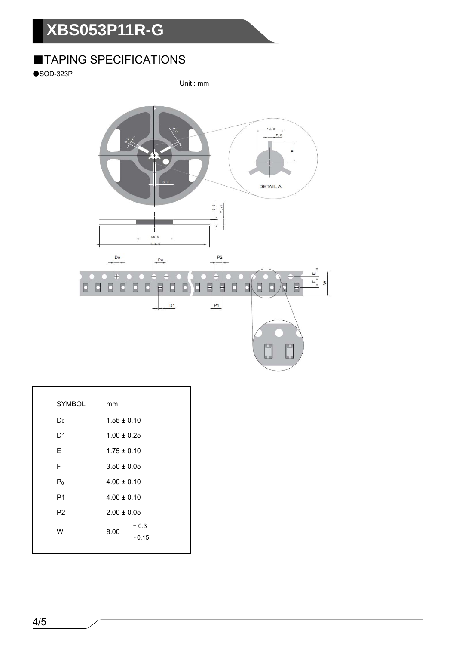# **XBS053P11R-G**

### ■TAPING SPECIFICATIONS

 $\bullet$ SOD-323P

Unit : mm



| <b>SYMBOL</b>  | mm                                                    |                   |
|----------------|-------------------------------------------------------|-------------------|
| D <sub>0</sub> | $1.55 \pm 0.10$                                       |                   |
| D <sub>1</sub> | $1.00 \pm 0.25$                                       |                   |
| E.             | $1.75 \pm 0.10$                                       |                   |
| F              | $3.50 \pm 0.05$                                       |                   |
| $P_0$          | $4.00 \pm 0.10$<br>$4.00 \pm 0.10$<br>$2.00 \pm 0.05$ |                   |
| P <sub>1</sub> |                                                       |                   |
| P <sub>2</sub> |                                                       |                   |
| W              | 8.00                                                  | $+0.3$<br>$-0.15$ |
|                |                                                       |                   |